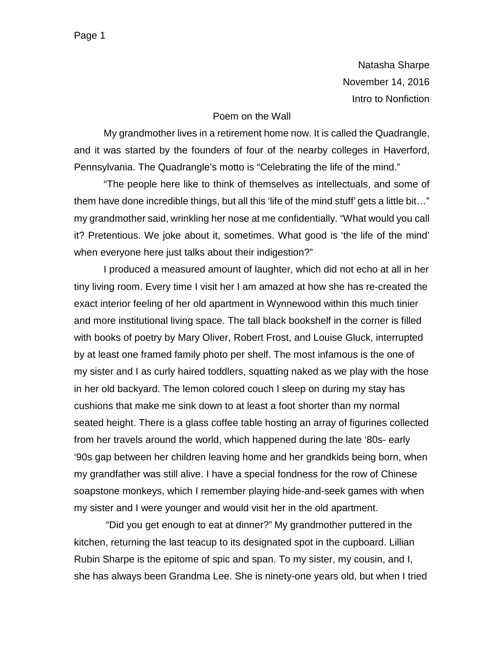Natasha Sharpe November 14, 2016 Intro to Nonfiction

#### Poem on the Wall

My grandmother lives in a retirement home now. It is called the Quadrangle, and it was started by the founders of four of the nearby colleges in Haverford, Pennsylvania. The Quadrangle's motto is "Celebrating the life of the mind."

"The people here like to think of themselves as intellectuals, and some of them have done incredible things, but all this 'life of the mind stuff' gets a little bit…" my grandmother said, wrinkling her nose at me confidentially. "What would you call it? Pretentious. We joke about it, sometimes. What good is 'the life of the mind' when everyone here just talks about their indigestion?"

I produced a measured amount of laughter, which did not echo at all in her tiny living room. Every time I visit her I am amazed at how she has re-created the exact interior feeling of her old apartment in Wynnewood within this much tinier and more institutional living space. The tall black bookshelf in the corner is filled with books of poetry by Mary Oliver, Robert Frost, and Louise Gluck, interrupted by at least one framed family photo per shelf. The most infamous is the one of my sister and I as curly haired toddlers, squatting naked as we play with the hose in her old backyard. The lemon colored couch I sleep on during my stay has cushions that make me sink down to at least a foot shorter than my normal seated height. There is a glass coffee table hosting an array of figurines collected from her travels around the world, which happened during the late '80s- early '90s gap between her children leaving home and her grandkids being born, when my grandfather was still alive. I have a special fondness for the row of Chinese soapstone monkeys, which I remember playing hide-and-seek games with when my sister and I were younger and would visit her in the old apartment.

"Did you get enough to eat at dinner?" My grandmother puttered in the kitchen, returning the last teacup to its designated spot in the cupboard. Lillian Rubin Sharpe is the epitome of spic and span. To my sister, my cousin, and I, she has always been Grandma Lee. She is ninety-one years old, but when I tried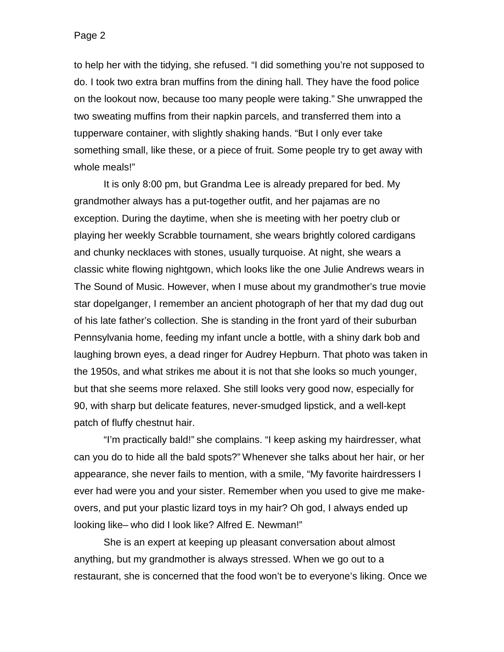to help her with the tidying, she refused. "I did something you're not supposed to do. I took two extra bran muffins from the dining hall. They have the food police on the lookout now, because too many people were taking." She unwrapped the two sweating muffins from their napkin parcels, and transferred them into a tupperware container, with slightly shaking hands. "But I only ever take something small, like these, or a piece of fruit. Some people try to get away with whole meals!"

It is only 8:00 pm, but Grandma Lee is already prepared for bed. My grandmother always has a put-together outfit, and her pajamas are no exception. During the daytime, when she is meeting with her poetry club or playing her weekly Scrabble tournament, she wears brightly colored cardigans and chunky necklaces with stones, usually turquoise. At night, she wears a classic white flowing nightgown, which looks like the one Julie Andrews wears in The Sound of Music. However, when I muse about my grandmother's true movie star dopelganger, I remember an ancient photograph of her that my dad dug out of his late father's collection. She is standing in the front yard of their suburban Pennsylvania home, feeding my infant uncle a bottle, with a shiny dark bob and laughing brown eyes, a dead ringer for Audrey Hepburn. That photo was taken in the 1950s, and what strikes me about it is not that she looks so much younger, but that she seems more relaxed. She still looks very good now, especially for 90, with sharp but delicate features, never-smudged lipstick, and a well-kept patch of fluffy chestnut hair.

"I'm practically bald!" she complains. "I keep asking my hairdresser, what can you do to hide all the bald spots?" Whenever she talks about her hair, or her appearance, she never fails to mention, with a smile, "My favorite hairdressers I ever had were you and your sister. Remember when you used to give me makeovers, and put your plastic lizard toys in my hair? Oh god, I always ended up looking like– who did I look like? Alfred E. Newman!"

She is an expert at keeping up pleasant conversation about almost anything, but my grandmother is always stressed. When we go out to a restaurant, she is concerned that the food won't be to everyone's liking. Once we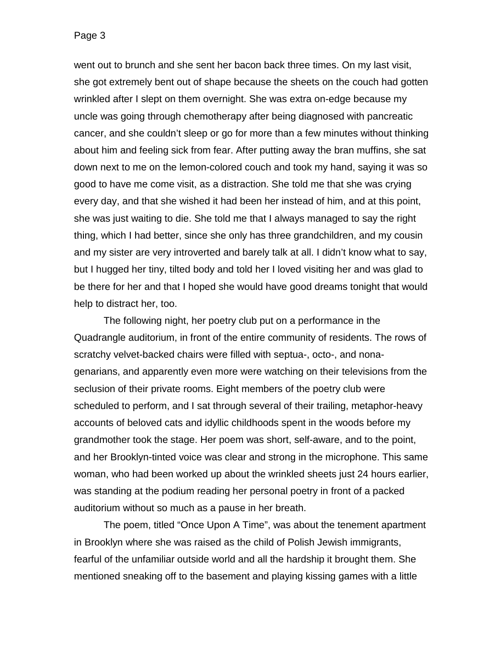went out to brunch and she sent her bacon back three times. On my last visit, she got extremely bent out of shape because the sheets on the couch had gotten wrinkled after I slept on them overnight. She was extra on-edge because my uncle was going through chemotherapy after being diagnosed with pancreatic cancer, and she couldn't sleep or go for more than a few minutes without thinking about him and feeling sick from fear. After putting away the bran muffins, she sat down next to me on the lemon-colored couch and took my hand, saying it was so good to have me come visit, as a distraction. She told me that she was crying every day, and that she wished it had been her instead of him, and at this point, she was just waiting to die. She told me that I always managed to say the right thing, which I had better, since she only has three grandchildren, and my cousin and my sister are very introverted and barely talk at all. I didn't know what to say, but I hugged her tiny, tilted body and told her I loved visiting her and was glad to be there for her and that I hoped she would have good dreams tonight that would help to distract her, too.

The following night, her poetry club put on a performance in the Quadrangle auditorium, in front of the entire community of residents. The rows of scratchy velvet-backed chairs were filled with septua-, octo-, and nonagenarians, and apparently even more were watching on their televisions from the seclusion of their private rooms. Eight members of the poetry club were scheduled to perform, and I sat through several of their trailing, metaphor-heavy accounts of beloved cats and idyllic childhoods spent in the woods before my grandmother took the stage. Her poem was short, self-aware, and to the point, and her Brooklyn-tinted voice was clear and strong in the microphone. This same woman, who had been worked up about the wrinkled sheets just 24 hours earlier, was standing at the podium reading her personal poetry in front of a packed auditorium without so much as a pause in her breath.

The poem, titled "Once Upon A Time", was about the tenement apartment in Brooklyn where she was raised as the child of Polish Jewish immigrants, fearful of the unfamiliar outside world and all the hardship it brought them. She mentioned sneaking off to the basement and playing kissing games with a little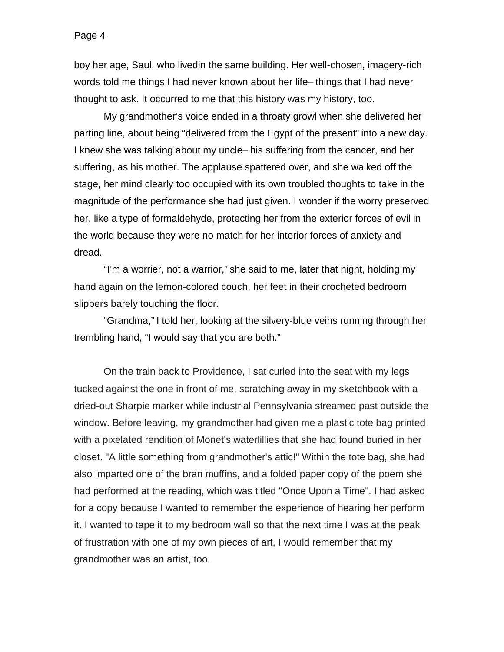boy her age, Saul, who livedin the same building. Her well-chosen, imagery-rich words told me things I had never known about her life– things that I had never thought to ask. It occurred to me that this history was my history, too.

My grandmother's voice ended in a throaty growl when she delivered her parting line, about being "delivered from the Egypt of the present" into a new day. I knew she was talking about my uncle– his suffering from the cancer, and her suffering, as his mother. The applause spattered over, and she walked off the stage, her mind clearly too occupied with its own troubled thoughts to take in the magnitude of the performance she had just given. I wonder if the worry preserved her, like a type of formaldehyde, protecting her from the exterior forces of evil in the world because they were no match for her interior forces of anxiety and dread.

"I'm a worrier, not a warrior," she said to me, later that night, holding my hand again on the lemon-colored couch, her feet in their crocheted bedroom slippers barely touching the floor.

"Grandma," I told her, looking at the silvery-blue veins running through her trembling hand, "I would say that you are both."

On the train back to Providence, I sat curled into the seat with my legs tucked against the one in front of me, scratching away in my sketchbook with a dried-out Sharpie marker while industrial Pennsylvania streamed past outside the window. Before leaving, my grandmother had given me a plastic tote bag printed with a pixelated rendition of Monet's waterlillies that she had found buried in her closet. "A little something from grandmother's attic!" Within the tote bag, she had also imparted one of the bran muffins, and a folded paper copy of the poem she had performed at the reading, which was titled "Once Upon a Time". I had asked for a copy because I wanted to remember the experience of hearing her perform it. I wanted to tape it to my bedroom wall so that the next time I was at the peak of frustration with one of my own pieces of art, I would remember that my grandmother was an artist, too.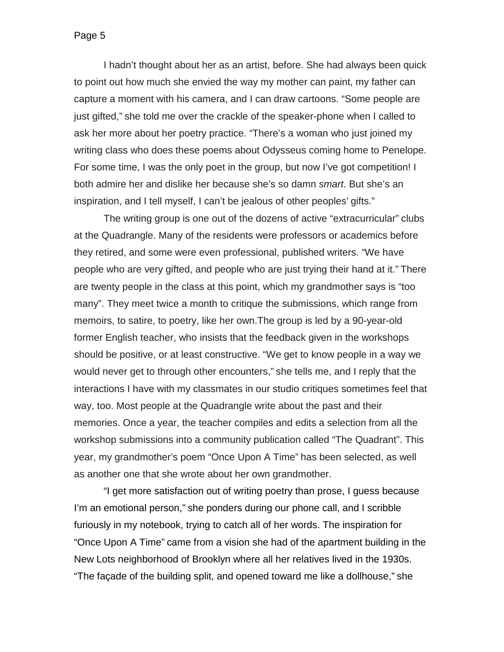I hadn't thought about her as an artist, before. She had always been quick to point out how much she envied the way my mother can paint, my father can capture a moment with his camera, and I can draw cartoons. "Some people are just gifted," she told me over the crackle of the speaker-phone when I called to ask her more about her poetry practice. "There's a woman who just joined my writing class who does these poems about Odysseus coming home to Penelope. For some time, I was the only poet in the group, but now I've got competition! I both admire her and dislike her because she's so damn *smart*. But she's an inspiration, and I tell myself, I can't be jealous of other peoples' gifts."

The writing group is one out of the dozens of active "extracurricular" clubs at the Quadrangle. Many of the residents were professors or academics before they retired, and some were even professional, published writers. "We have people who are very gifted, and people who are just trying their hand at it." There are twenty people in the class at this point, which my grandmother says is "too many". They meet twice a month to critique the submissions, which range from memoirs, to satire, to poetry, like her own.The group is led by a 90-year-old former English teacher, who insists that the feedback given in the workshops should be positive, or at least constructive. "We get to know people in a way we would never get to through other encounters," she tells me, and I reply that the interactions I have with my classmates in our studio critiques sometimes feel that way, too. Most people at the Quadrangle write about the past and their memories. Once a year, the teacher compiles and edits a selection from all the workshop submissions into a community publication called "The Quadrant". This year, my grandmother's poem "Once Upon A Time" has been selected, as well as another one that she wrote about her own grandmother.

"I get more satisfaction out of writing poetry than prose, I guess because I'm an emotional person," she ponders during our phone call, and I scribble furiously in my notebook, trying to catch all of her words. The inspiration for "Once Upon A Time" came from a vision she had of the apartment building in the New Lots neighborhood of Brooklyn where all her relatives lived in the 1930s. "The façade of the building split, and opened toward me like a dollhouse," she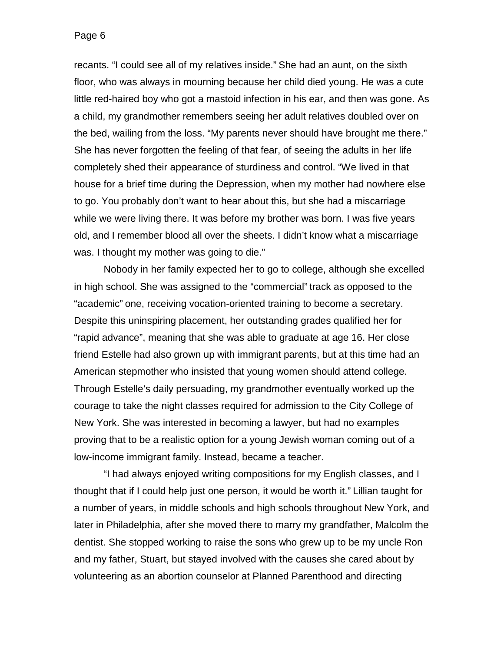recants. "I could see all of my relatives inside." She had an aunt, on the sixth floor, who was always in mourning because her child died young. He was a cute little red-haired boy who got a mastoid infection in his ear, and then was gone. As a child, my grandmother remembers seeing her adult relatives doubled over on the bed, wailing from the loss. "My parents never should have brought me there." She has never forgotten the feeling of that fear, of seeing the adults in her life completely shed their appearance of sturdiness and control. "We lived in that house for a brief time during the Depression, when my mother had nowhere else to go. You probably don't want to hear about this, but she had a miscarriage while we were living there. It was before my brother was born. I was five years old, and I remember blood all over the sheets. I didn't know what a miscarriage was. I thought my mother was going to die."

Nobody in her family expected her to go to college, although she excelled in high school. She was assigned to the "commercial" track as opposed to the "academic" one, receiving vocation-oriented training to become a secretary. Despite this uninspiring placement, her outstanding grades qualified her for "rapid advance", meaning that she was able to graduate at age 16. Her close friend Estelle had also grown up with immigrant parents, but at this time had an American stepmother who insisted that young women should attend college. Through Estelle's daily persuading, my grandmother eventually worked up the courage to take the night classes required for admission to the City College of New York. She was interested in becoming a lawyer, but had no examples proving that to be a realistic option for a young Jewish woman coming out of a low-income immigrant family. Instead, became a teacher.

"I had always enjoyed writing compositions for my English classes, and I thought that if I could help just one person, it would be worth it." Lillian taught for a number of years, in middle schools and high schools throughout New York, and later in Philadelphia, after she moved there to marry my grandfather, Malcolm the dentist. She stopped working to raise the sons who grew up to be my uncle Ron and my father, Stuart, but stayed involved with the causes she cared about by volunteering as an abortion counselor at Planned Parenthood and directing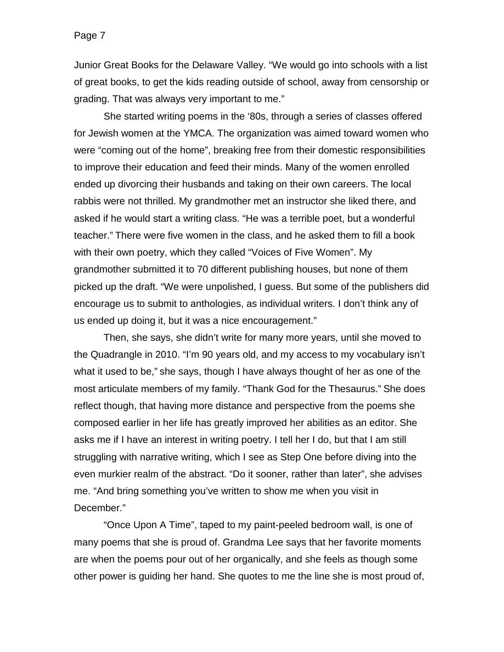Junior Great Books for the Delaware Valley. "We would go into schools with a list of great books, to get the kids reading outside of school, away from censorship or grading. That was always very important to me."

She started writing poems in the '80s, through a series of classes offered for Jewish women at the YMCA. The organization was aimed toward women who were "coming out of the home", breaking free from their domestic responsibilities to improve their education and feed their minds. Many of the women enrolled ended up divorcing their husbands and taking on their own careers. The local rabbis were not thrilled. My grandmother met an instructor she liked there, and asked if he would start a writing class. "He was a terrible poet, but a wonderful teacher." There were five women in the class, and he asked them to fill a book with their own poetry, which they called "Voices of Five Women". My grandmother submitted it to 70 different publishing houses, but none of them picked up the draft. "We were unpolished, I guess. But some of the publishers did encourage us to submit to anthologies, as individual writers. I don't think any of us ended up doing it, but it was a nice encouragement."

Then, she says, she didn't write for many more years, until she moved to the Quadrangle in 2010. "I'm 90 years old, and my access to my vocabulary isn't what it used to be," she says, though I have always thought of her as one of the most articulate members of my family. "Thank God for the Thesaurus." She does reflect though, that having more distance and perspective from the poems she composed earlier in her life has greatly improved her abilities as an editor. She asks me if I have an interest in writing poetry. I tell her I do, but that I am still struggling with narrative writing, which I see as Step One before diving into the even murkier realm of the abstract. "Do it sooner, rather than later", she advises me. "And bring something you've written to show me when you visit in December."

"Once Upon A Time", taped to my paint-peeled bedroom wall, is one of many poems that she is proud of. Grandma Lee says that her favorite moments are when the poems pour out of her organically, and she feels as though some other power is guiding her hand. She quotes to me the line she is most proud of,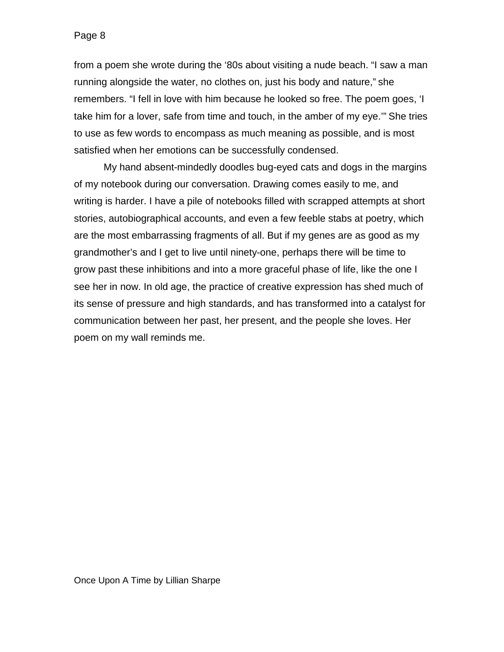from a poem she wrote during the '80s about visiting a nude beach. "I saw a man running alongside the water, no clothes on, just his body and nature," she remembers. "I fell in love with him because he looked so free. The poem goes, 'I take him for a lover, safe from time and touch, in the amber of my eye.'" She tries to use as few words to encompass as much meaning as possible, and is most satisfied when her emotions can be successfully condensed.

My hand absent-mindedly doodles bug-eyed cats and dogs in the margins of my notebook during our conversation. Drawing comes easily to me, and writing is harder. I have a pile of notebooks filled with scrapped attempts at short stories, autobiographical accounts, and even a few feeble stabs at poetry, which are the most embarrassing fragments of all. But if my genes are as good as my grandmother's and I get to live until ninety-one, perhaps there will be time to grow past these inhibitions and into a more graceful phase of life, like the one I see her in now. In old age, the practice of creative expression has shed much of its sense of pressure and high standards, and has transformed into a catalyst for communication between her past, her present, and the people she loves. Her poem on my wall reminds me.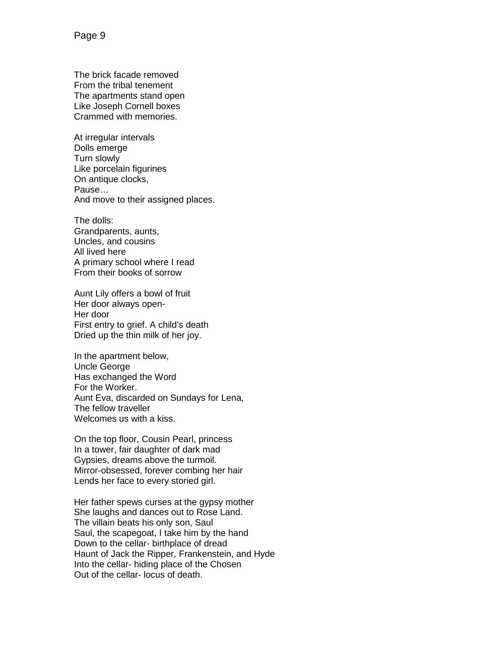The brick facade removed From the tribal tenement The apartments stand open Like Joseph Cornell boxes Crammed with memories.

At irregular intervals Dolls emerge Turn slowly Like porcelain figurines On antique clocks, Pause… And move to their assigned places.

The dolls: Grandparents, aunts, Uncles, and cousins All lived here A primary school where I read From their books of sorrow

Aunt Lily offers a bowl of fruit Her door always open-Her door First entry to grief. A child's death Dried up the thin milk of her joy.

In the apartment below, Uncle George Has exchanged the Word For the Worker. Aunt Eva, discarded on Sundays for Lena, The fellow traveller Welcomes us with a kiss.

On the top floor, Cousin Pearl, princess In a tower, fair daughter of dark mad Gypsies, dreams above the turmoil. Mirror-obsessed, forever combing her hair Lends her face to every storied girl.

Her father spews curses at the gypsy mother She laughs and dances out to Rose Land. The villain beats his only son, Saul Saul, the scapegoat, I take him by the hand Down to the cellar- birthplace of dread Haunt of Jack the Ripper, Frankenstein, and Hyde Into the cellar- hiding place of the Chosen Out of the cellar- locus of death.